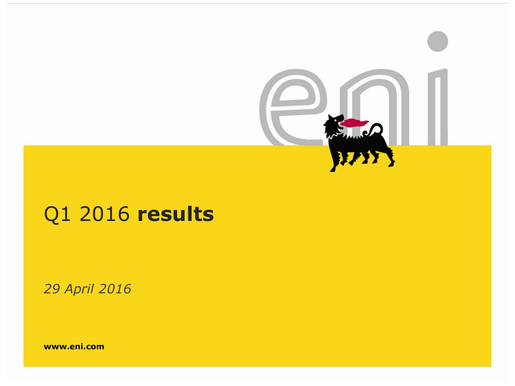

# Q1 2016 **results**

*29 April 2016*

**www.eni.com**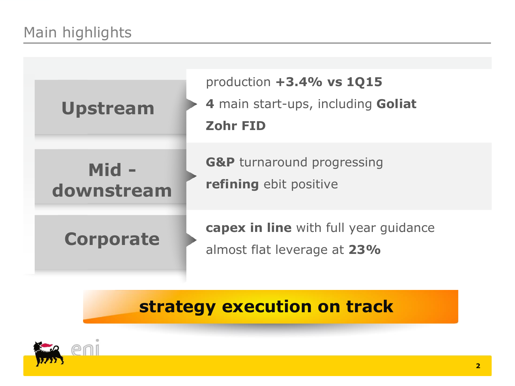

# **strategy execution on track**

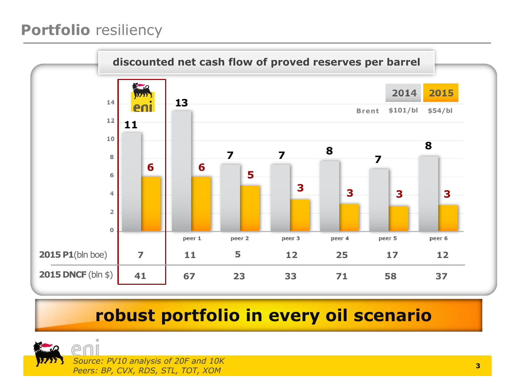## **Portfolio** resiliency



# **robust portfolio in every oil scenario**

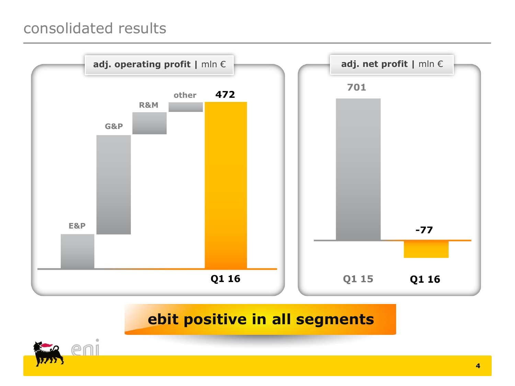#### consolidated results



#### **ebit positive in all segments**

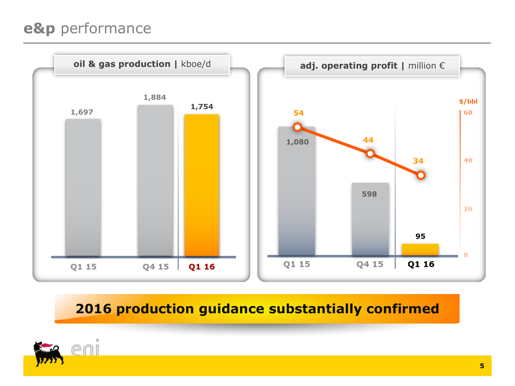## **e&p** performance



#### **2016 production guidance substantially confirmed**

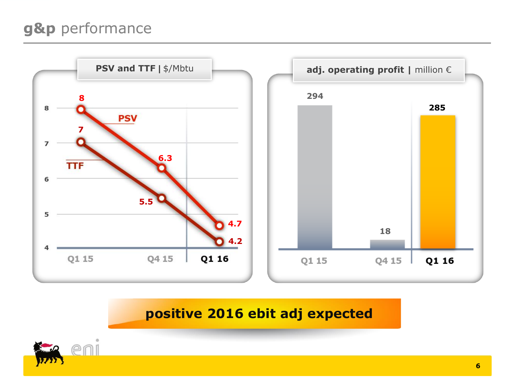## **g&p** performance



**positive 2016 ebit adj expected**

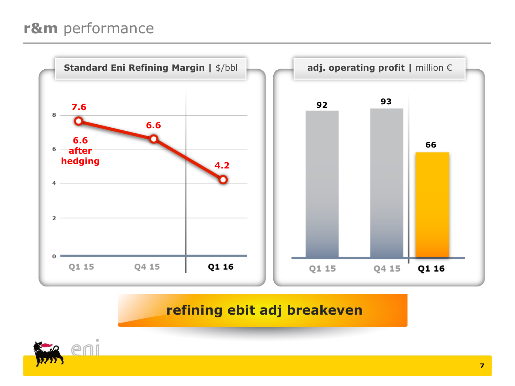## **r&m** performance



#### **refining ebit adj breakeven**